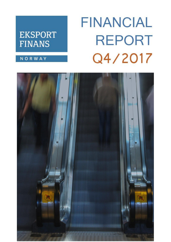# **FINANCIAL REPORT** Q4/2017

## **EKSPORT FINANS**

### NORWAY

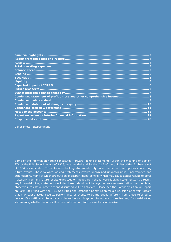| Condensed statement of profit or loss and other comprehensive income  8 |  |
|-------------------------------------------------------------------------|--|
|                                                                         |  |
|                                                                         |  |
|                                                                         |  |
|                                                                         |  |
|                                                                         |  |
|                                                                         |  |

Cover photo: Eksportfinans

Some of the information herein constitutes "forward-looking statements" within the meaning of Section 27A of the U.S. Securities Act of 1933, as amended and Section 21E of the U.S. Securities Exchange Act of 1934, as amended. These forward-looking statements rely on a number of assumptions concerning future events. These forward-looking statements involve known and unknown risks, uncertainties and other factors, many of which are outside of Eksportfinans' control, which may cause actual results to differ materially from any future results expressed or implied from the forward-looking statements. As a result, any forward-looking statements included herein should not be regarded as a representation that the plans, objectives, results or other actions discussed will be achieved. Please see the Company's Annual Report on Form 20-F filed with the U.S. Securities and Exchange Commission for a discussion of certain factors that may cause actual results, performance or events to be materially different from those referred to herein. Eksportfinans disclaims any intention or obligation to update or revise any forward-looking statements, whether as a result of new information, future events or otherwise.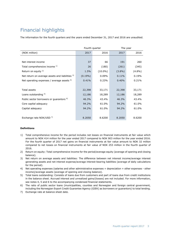### <span id="page-2-0"></span>Financial highlights

The information for the fourth quarters and the years ended December 31, 2017 and 2016 are unaudited.

|                                                       |            | Fourth quarter | The year  |           |
|-------------------------------------------------------|------------|----------------|-----------|-----------|
| (NOK million)                                         | 2017       | 2016           |           | 2016      |
|                                                       |            |                |           |           |
| Net interest income                                   | 37         | 66             | 191       | 260       |
| Total comprehensive income 1)                         | 26         | (180)          | (261)     | (345)     |
| Return on equity $2$ )                                | 1.5%       | $(10.0\%)$     | $(3.8\%)$ | $(4.8\%)$ |
| Net return on average assets and liabilities 3)       | $(0.19\%)$ | 0.09%          | 0.11%     | 0.19%     |
| Net operating expenses / average assets <sup>4)</sup> | 0.41%      | 0.23%          | 0.40%     | 0.21%     |
|                                                       |            |                |           |           |
| Total assets                                          | 22,398     | 33,171         | 22,398    | 33,171    |
| Loans outstanding <sup>5)</sup>                       | 12,186     | 18,289         | 12,186    | 18,289    |
| Public sector borrowers or guarantors <sup>6)</sup>   | 46.3%      | 43.4%          | 46.3%     | 43.4%     |
| Core capital adequacy                                 | 94.2%      | 61.0%          | 94.2%     | 61.0%     |
| Capital adequacy                                      | 94.2%      | 61.0%          | 94.2%     | 61.0%     |
|                                                       |            |                |           |           |
| Exchange rate NOK/USD 7)                              | 8.2050     | 8.6200         | 8.2050    | 8.6200    |

#### **Definitions**

- 1) Total comprehensive income for the period includes net losses on financial instruments at fair value which amount to NOK 414 million for the year ended 2017 compared to NOK 903 million for the year ended 2016. For the fourth quarter of 2017 net gains on financial instruments at fair value amount to NOK 32 million compared to net losses on financial instruments at fair value of NOK 253 million in the fourth quarter of 2016.
- 2) Return on equity: Total comprehensive income for the period/average equity (average of opening and closing balance).
- 3) Net return on average assets and liabilities: The difference between net interest income/average interest generating assets and net interest expense/average interest-bearing liabilities (average of daily calculations for the period).
- 4) Net operating expenses (salaries and other administrative expenses + depreciation + other expenses other income)/average assets (average of opening and closing balance).
- 5) Total loans outstanding: Consists of loans due from customers and part of loans due from credit institutions in the balance sheet. Accrued interest and unrealized gains/(losses) are not included. For more information, see notes 4, 5 and 6 to the accompanying condensed financial statements.
- 6) The ratio of public sector loans (municipalities, counties and Norwegian and foreign central government, including the Norwegian Export Credit Guarantee Agency (GIEK) as borrowers or guarantors) to total lending.
- 7) Exchange rate at balance sheet date.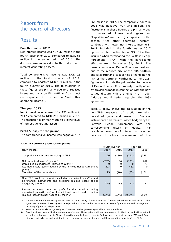### <span id="page-3-0"></span>Report from the board of directors

### <span id="page-3-1"></span>**Results**

#### **Fourth quarter 2017**

Net interest income was NOK 37 million in the fourth quarter of 2017 compared to NOK 66 million in the same period of 2016. The decrease was mainly due to the reduction of interest generating assets.

Total comprehensive income was NOK 26 million in the fourth quarter of 2017, compared to negative NOK 180 million in the fourth quarter of 2016. The fluctuations in these figures are primarily due to unrealized losses and gains on Eksportfinans' own debt (as explained in the section "Net other operating income").

#### **The year 2017**

Net interest income was NOK 191 million in 2017 compared to NOK 260 million in 2016. The reduction is primarily due to a lower level of interest generating assets.

#### **Profit/(loss) for the period**

The comprehensive income was negative NOK

261 million in 2017. The comparable figure in 2016 was negative NOK 345 million. The fluctuations in these figures are primarily due to unrealized losses and gains on Eksportfinans' own debt (as explained in the section "Net other operating income") combined with lower net interest income in 2017. Included in the fourth quarter 2017 figures is a termination fee of NOK 55 million incurred when terminating the Portfolio Hedge Agreement ("PHA") with the participants effective from December 31, 2017. The termination was on Eksportfinans' request and due to the reduced size of the PHA-portfolio and Eksportfinans' capabilities of handling the risk of the portfolio. Furthermore, the 2016 figures also include the gain related to the sale of Eksportfinans' office property, partly offset by provisions made in connection with the now settled dispute with the Ministry of Trade, Industry and Fisheries regarding the 108 agreement.

Table 1 below shows the calculation of the non-IFRS measure of profit, excluding unrealized gains and losses on financial instruments and realized losses hedged by the Portfolio Hedge Agreement, with the corresponding return on equity. This calculation may be of interest to investors because it allows assessment of the

| Table 1: Non-IFRS profit for the period                                                                                              |          |                |           |          |
|--------------------------------------------------------------------------------------------------------------------------------------|----------|----------------|-----------|----------|
|                                                                                                                                      |          |                |           |          |
|                                                                                                                                      |          | Fourth quarter |           | The year |
| (NOK million)                                                                                                                        | 2017     | 2016           | 2017      | 2016     |
| Comprehensive income according to IFRS                                                                                               | 26       | (180)          | (261)     | (345)    |
| Net unrealized losses/(gains) $^{1}$                                                                                                 | (297)    | 196            | (121)     | 612      |
| Unrealized gains/(losses) related to Glitnir <sup>2)</sup>                                                                           | $\left($ | 0              |           | 71       |
| Realized losses/(gains) hedged by the Portfolio Hedge Agreement                                                                      | 203      | 0              | 452       | 0        |
| $(PHA)^{3}$                                                                                                                          |          |                |           |          |
| Tax effect of the items above                                                                                                        | 23       | (40)           | (83)      | (161)    |
|                                                                                                                                      |          |                |           |          |
| Non-IFRS profit for the period excluding unrealized gains/(losses)<br>on financial instruments and excluding realized losses/(gains) |          |                |           |          |
| hedged by the PHA                                                                                                                    | (45)     | (24)           | (13)      | 177      |
| Return on equity based on profit for the period excluding<br>unrealized gains/(losses) on financial instruments and excluding        |          |                |           |          |
| realized losses/(gains) hedged by the PHA                                                                                            | (2.3%)   | (1.2%)         | $(0.2\%)$ | 2.3%     |

1) The termination of the PHA-agreement resulted in a posting of NOK 979 million from unrealized loss to realized loss. The figure Net unrealized losses/(gains) is adjusted with this number to show a net result figure in line with management reporting of profits in Eksportfinans.

2) Reversal of previously recognized gains/losses (at exchange rates applicable at reporting date).

3) Securities have been sold with realized gains/losses. These gains and losses are covered by the PHA, and will be settled according to that agreement. Eksportfinans therefore believes it is useful for investors to present this non-IFRS profit figure with such gains/losses excluded due to the economic arrangement under, and the accounting impacts of, the PHA.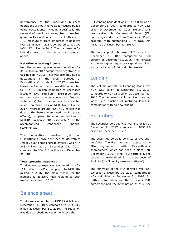performance of the underlying business operations without the volatility caused by fair value fluctuations, including specifically the reversal of previously recognized unrealized gains on Eksportfinans' own debt. This non-IFRS measure of profit amounted to negative NOK 13 million in 2017, compared to positive NOK 177 million in 2016. The main reason for this decrease are the same as explained above.

#### **Net other operating income**

Net other operating income was negative NOK 415 million in 2017 compared to negative NOK 661 million in 2016. This was primarily due to fluctuations in the credit spreads of Eksportfinans' own debt. In 2017, unrealized losses on Eksportfinans' own debt amounted to NOK 567 million compared to unrealized losses of NOK 46 million in 2016 (see note 2 to the accompanying condensed financial statements). Net of derivatives, this resulted in an unrealized loss of NOK 442 million in 2017 (whereof around NOK 435 million was due to the before mentioned credit spread effects), compared to an unrealized loss of NOK 818 million in 2016 (see note 15 to the accompanying condensed financial statements).

The cumulative unrealized gain on Eksportfinans' own debt net of derivatives (mainly due to credit spread effects), was NOK 368 million as of December 31, 2017, compared to NOK 810 million as of December 31, 2016.

#### <span id="page-4-0"></span>**Total operating expenses**

Total operating expenses amounted to NOK 114 million in 2017, compared to NOK 107 million in 2016. The main reason for the increase is advisory fees relating to debt market activities in 2017.

### <span id="page-4-1"></span>Balance sheet

Total assets amounted to NOK 22.4 billion at December 31, 2017, compared to NOK 33.2 billion at December 31, 2016. The reduction was due to scheduled repayments of debt.

Outstanding bond debt was NOK 14.0 billion at December 31, 2017, compared to NOK 22.6 billion at December 31, 2016. Eksportfinans has revived its Commercial Paper (CP) borrowings under the Euro Commercial Paper program, with outstanding CP of NOK 394 million as of December 31, 2017.

The core capital ratio was 94.2 percent at December 31, 2017, compared to 61.0 percent at December 31, 2016. The increase is due to higher regulatory capital combined with a reduction of risk weighted assets.

### <span id="page-4-2"></span>Lending

The volume of total outstanding loans was NOK 12.2 billion at December 31, 2017, compared to NOK 18.3 billion at December 31, 2016. The decrease in volume of outstanding loans is a function of maturing loans in combination with no new lending.

### <span id="page-4-3"></span>**Securities**

The securities portfolio was NOK 5.9 billion at December 31, 2017, compared to NOK 8.8 billion at December 31, 2016.

The securities portfolio consists of two subportfolios. The first has been subject to the PHA agreement with Eksportfinans' shareholders, which has been in place until December 31, 2017 (the "PHA portfolio"). The second is maintained for the purpose of liquidity (the "liquidity reserve portfolio").

The fair value of the PHA-portfolio was NOK 2.6 billion at December 31, 2017, compared to NOK 4.4 billion at December 31, 2016. For further information on the previous PHA agreement and the termination of this, see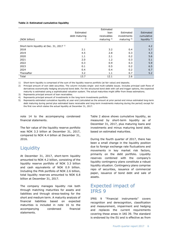#### **Table 2: Estimated cumulative liquidity**

|                                                    |               | Estimated      |                |                         |
|----------------------------------------------------|---------------|----------------|----------------|-------------------------|
|                                                    | Estimated     | loan           | Estimated      | Estimated               |
|                                                    | debt maturing | receivables    | investments    | cumulative              |
| (NOK billion)                                      | 2)            | maturing $3$ ) | maturing $4$ ) | liquidity <sup>5)</sup> |
|                                                    |               |                |                |                         |
| Short-term liquidity at Dec. 31, 2017 <sup>1</sup> |               |                |                | 4.2                     |
| 2018                                               | 2.1           | 3.2            | 0.4            | 5.7                     |
| 2019                                               | 4.5           | 2.8            | 0.3            | 4.3                     |
| 2020                                               | 1.1           | 2.1            | 0.2            | 5.6                     |
| 2021                                               | 2.0           | 1.2            | 0.3            | 5.1                     |
| 2022                                               | 0.3           | 0.9            | 0.3            | 5.9                     |
| 2023                                               | 0.1           | 0.5            | 0.2            | 6.5                     |
| 2024                                               | 0.4           | 0.4            | 0.2            | 6.7                     |
| Thereafter                                         | 3.2           | 1.1            | 0.7            | 5.2                     |
| Total                                              | 13.7          | 12.1           | 2.6            |                         |

1) Short-term liquidity is comprised of the sum of the liquidity reserve portfolio (at fair value) and deposits.

2) Principal amount of own debt securities. The column includes single- and multi-callable issues. Includes principal cash flows of derivatives economically hedging structured bond debt. For the structured bond debt with call and trigger options, the expected maturity is estimated using a sophisticated valuation system. The actual maturities might differ from these estimations.

3) Represents principal amount of loan receivables.

4) Represents principal amount of investments in the long-term investments portfolio.

5) Represents estimated cumulative liquidity at year-end (calculated as the amount at prior period end minus estimated long-term debt maturing during period plus estimated loans receivable and long-term investments maturing during the period) except for the first row which states the actual liquidity at December 31, 2017.

note 14 to the accompanying condensed financial statements.

The fair value of the liquidity reserve portfolio was NOK 3.3 billion at December 31, 2017, compared to NOK 4.4 billion at December 31, 2016.

### <span id="page-5-0"></span>**Liquidity**

At December 31, 2017, short-term liquidity amounted to NOK 4.2 billion, consisting of the liquidity reserve portfolio of NOK 3.3 billion and cash equivalents of NOK 0.9 billion. Including the PHA portfolio of NOK 2.6 billion, total liquidity reserves amounted to NOK 6.8 billion at December 31, 2017.

The company manages liquidity risk both through matching maturities for assets and liabilities and through stress-testing for the short and medium term. A maturity analysis of financial liabilities based on expected maturities is included in note 16 to the accompanying condensed financial statements.

Table 2 above shows cumulative liquidity, as measured by short-term liquidity as of December 31, 2017, plus maturing loans and investments and minus maturing bond debt, based on estimated maturities.

During the fourth quarter of 2017, there has been a small change in the liquidity position due to foreign exchange rate fluctuations and movements in key market risk factors, primarily on the debt portfolio. Liquidity reserves combined with the company's liquidity contingency plans constitute a robust liquidity situation. Contingency plans comprise repo of securities, issuance of commercial paper, issuance of bond debt and sale of assets.

### <span id="page-5-1"></span>Expected impact of IFRS 9

IFRS 9 "Financial instruments" covers recognition and derecognition, classification and measurement, impairment and hedging and replaces the current requirements covering these areas in IAS 39. The standard is endorsed by the EU and is effective as from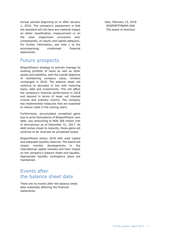annual periods beginning on or after January 1, 2018. The company's assessment is that the standard will not have any material impact on either classification, measurement or on the total impairment provisions and, consequently, on equity and capital adequacy. For further information, see note 1 to the accompanying condensed financial statements.

### <span id="page-6-0"></span>Future prospects

Eksportfinans' strategy to actively manage its existing portfolio of loans as well as other assets and liabilities, with the overall objective of maintaining company value, remains unchanged in 2018. The balance sheet will continue to decrease in line with maturing loans, debt and investments. This will affect the company's financial performance in 2018 and beyond in terms of lower net interest income and ordinary income. The company has implemented measures that are expected to reduce costs in the coming years.

Furthermore, accumulated unrealized gains due to price fluctuations of Eksportfinans' own debt, was amounting to NOK 368 million (net of derivatives) as of December 31, 2017. As debt comes closer to maturity, these gains will continue to be reversed as unrealized losses.

Eksportfinans enters 2018 with solid capital and adequate liquidity reserves. The board will closely monitor developments in the international capital markets and their impact on the company's balance sheet and liquidity. Appropriate liquidity contingency plans are maintained.

### <span id="page-6-1"></span>Events after the balance sheet date

There are no events after the balance sheet date materially affecting the financial statements.

Oslo, February 15, 2018 EKSPORTFINANS ASA The board of directors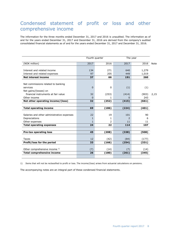### <span id="page-7-0"></span>Condensed statement of profit or loss and other comprehensive income

The information for the three months ended December 31, 2017 and 2016 is unaudited. The information as of and for the years ended December 31, 2017 and December 31, 2016 are derived from the company's audited consolidated financial statements as of and for the years ended December 31, 2017 and December 31, 2016.

|                                            |          | Fourth quarter | The year |       |      |
|--------------------------------------------|----------|----------------|----------|-------|------|
| (NOK million)                              | 2017     | 2016           | 2017     | 2016  | Note |
|                                            |          |                |          |       |      |
| Interest and related income                | 134      | 271            | 640      | 1,279 |      |
| Interest and related expenses              | 97       | 205            | 449      | 1,019 |      |
| <b>Net interest income</b>                 | 37       | 66             | 191      | 260   |      |
|                                            |          |                |          |       |      |
| Net commissions related to banking         |          |                |          |       |      |
| services                                   | $\Omega$ | $\mathbf{0}$   | (1)      | (1)   |      |
| Net gains/(losses) on                      |          |                |          |       |      |
| financial instruments at fair value        | 32       | (253)          | (414)    | (903) | 2,15 |
| Other income                               | 0        | 1              | $\Omega$ | 243   |      |
| Net other operating income/(loss)          | 32       | (252)          | (415)    | (661) |      |
|                                            |          |                |          |       |      |
| <b>Total operating income</b>              | 69       | (186)          | (224)    | (401) |      |
|                                            |          |                |          |       |      |
| Salaries and other administrative expenses | 22       | 19             | 101      | 90    |      |
| Depreciations                              | 1        | 1              | 2        | 6     |      |
| Other expenses                             | 1        | 2              | 11       | 11    |      |
| <b>Total operating expenses</b>            | 24       | 22             | 114      | 107   |      |
|                                            |          |                |          |       |      |
| <b>Pre-tax operating loss</b>              | 45       | (208)          | (338)    | (508) |      |
|                                            |          |                |          |       |      |
| Taxes                                      | 12       | (42)           | (84)     | (177) |      |
| Profit/loss for the period                 | 33       | (166)          | (254)    | (331) |      |
|                                            |          |                |          |       |      |
| Other comprehensive income 1)              | (7)      | (14)           | (7)      | (14)  |      |
| <b>Total comprehensive income</b>          | 26       | (180)          | (261)    | (345) |      |

1) Items that will not be reclassified to profit or loss. The income/(loss) arises from actuarial calculations on pensions.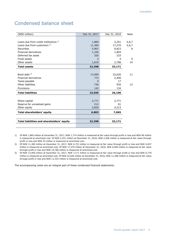### <span id="page-8-0"></span>Condensed balance sheet

| (NOK million)                              | Dec 31, 2017             | Dec 31, 2016   | <b>Note</b> |
|--------------------------------------------|--------------------------|----------------|-------------|
|                                            |                          |                |             |
| Loans due from credit institutions 1)      | 1,860                    | 2,251          | 4,6,7       |
| Loans due from customers <sup>2)</sup>     | 11,360                   | 17,270         | 5,6,7       |
| <b>Securities</b>                          | 5,901                    | 8,823          | 8           |
| <b>Financial derivatives</b>               | 1,336                    | 1,804          |             |
| Deferred tax asset                         | 320                      | 233            |             |
| Fixed assets                               | $\overline{\phantom{0}}$ | $\overline{4}$ | 9           |
| Other assets                               | 1,619                    | 2,786          | 10          |
| <b>Total assets</b>                        | 22,398                   | 33,171         |             |
|                                            |                          |                |             |
| Bond debt $3$ )                            | 13,950                   | 22,620         | 11          |
| <b>Financial derivatives</b>               | 773                      | 2,400          |             |
| Taxes payable                              | $\Omega$                 | 17             |             |
| Other liabilities                          | 730                      | 935            | 12          |
| Provisions                                 | 142                      | 134            |             |
| <b>Total liabilities</b>                   | 15,595                   | 26,106         |             |
|                                            |                          |                |             |
| Share capital                              | 2,771                    | 2,771          |             |
| Reserve for unrealized gains               | 212                      | 81             |             |
| Other equity                               | 3,820                    | 4,213          |             |
| Total shareholders' equity                 | 6,803                    | 7,065          |             |
|                                            |                          |                |             |
| Total liabilities and shareholders' equity | 22,398                   | 33,171         |             |
|                                            |                          |                |             |

1) Of NOK 1,860 million at December 31, 2017, NOK 1,774 million is measured at fair value through profit or loss and NOK 86 million is measured at amortized cost. Of NOK 2,251 million at December 31, 2016, NOK 2,208 million is measured at fair value through profit or loss and NOK 43 million is measured at amortized cost.

2) Of NOK 11,360 million at December 31, 2017, NOK 4,723 million is measured at fair value through profit or loss and NOK 6,637 million is measured at amortized cost. Of NOK 17,270 million at December 31, 2016, NOK 6,484 million is measured at fair value through profit or loss and NOK 10,786 million is measured at amortized cost.

3) Of NOK 13,950 million at December 31, 2017, NOK 7,171 million is measured at fair value through profit or loss and NOK 6,779 million is measured at amortized cost. Of NOK 22,620 million at December 31, 2016, NOK 11,286 million is measured at fair value through profit or loss and NOK 11,334 million is measured at amortized cost.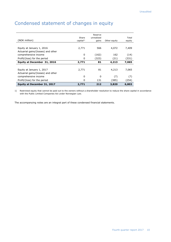| Equity at December 31, 2017                                | 2,771                          | 212                 | 3,820        | 6,803           |
|------------------------------------------------------------|--------------------------------|---------------------|--------------|-----------------|
| Profit/(loss) for the period                               | 0                              | 131                 | (385)        | (254)           |
| comprehensive income                                       | 0                              | $\Omega$            | (7)          | (7)             |
| Actuarial gains/(losses) and other                         |                                |                     |              |                 |
| Equity at January 1, 2017                                  | 2,771                          | 81                  | 4,213        | 7,065           |
| Equity at December 31, 2016                                | 2,771                          | 81                  | 4,213        | 7,065           |
| Profit/(loss) for the period                               | 0                              | (323)               | (21)         | (331)           |
| Actuarial gains/(losses) and other<br>comprehensive income | 0                              | (162)               | 162          | (14)            |
| Equity at January 1, 2016                                  | 2,771                          | 566                 | 4,072        | 7,409           |
| (NOK million)                                              | Share<br>capital <sup>1)</sup> | unrealized<br>gains | Other equity | Total<br>equity |
|                                                            |                                | Reserve             |              |                 |

### <span id="page-9-0"></span>Condensed statement of changes in equity

1) Restricted equity that cannot be paid out to the owners without a shareholder resolution to reduce the share capital in accordance with the Public Limited Companies Act under Norwegian Law.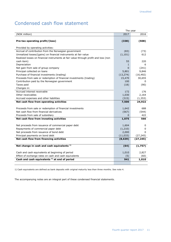### <span id="page-10-0"></span>Condensed cash flow statement

|                                                                                     | The year  |           |
|-------------------------------------------------------------------------------------|-----------|-----------|
| (NOK million)                                                                       | 2017      | 2016      |
|                                                                                     |           |           |
| Pre-tax operating profit/(loss)                                                     | (338)     | (508)     |
|                                                                                     |           |           |
| Provided by operating activities:                                                   |           |           |
| Accrual of contribution from the Norwegian government                               | (83)      | (73)      |
| Unrealized losses/(gains) on financial instruments at fair value                    | (1, 101)  | 612       |
| Realized losses on financial instruments at fair value through profit and loss (non |           |           |
| cash item)                                                                          | 55        | 220       |
| Depreciation                                                                        | 1.        | 6         |
| Net gain from sale of group company                                                 | 0         | (241)     |
| Principal collected on loans                                                        | 5,801     | 9,846     |
| Purchase of financial investments (trading)                                         | (13, 274) | (16, 492) |
| Proceeds from sale or redemption of financial investments (trading)                 | 15,470    | 30,655    |
| Contribution paid by the Norwegian government                                       | 100       | 0         |
| Taxes paid                                                                          | (18)      | (90)      |
| Changes in:                                                                         |           |           |
| Accrued interest receivable                                                         | 172       | 176       |
| Other receivables                                                                   | 1,030     | 2,164     |
| Accrued expenses and other liabilities                                              | (315)     | (1, 353)  |
| Net cash flow from operating activities                                             | 7,500     | 24,922    |
|                                                                                     |           |           |
| Proceeds from sale or redemption of financial investments                           | 1,642     | 688       |
| Net cash flow from financial derivatives                                            | (567)     | (544)     |
| Proceeds from sale of subsidiary                                                    | 0         | 422       |
| Net cash flow from investing activities                                             | 1,075     | 566       |
|                                                                                     |           |           |
| Net proceeds from issuance of commercial paper debt                                 | 1,604     | 0         |
| Repayments of commercial paper debt                                                 | (1,210)   | 0         |
| Net proceeds from issuance of bond debt                                             | 2,000     | 0         |
| Principal payments on bond debt                                                     | (11, 033) | (27, 245) |
| Net cash flow from financing activities                                             | (8, 639)  | (27, 245) |
|                                                                                     |           |           |
| Net change in cash and cash equivalents <sup>1)</sup>                               | (64)      | (1, 757)  |
|                                                                                     |           |           |
| Cash and cash equivalents at beginning of period                                    | 1,010     | 2,827     |
| Effect of exchange rates on cash and cash equivalents                               | (5)       | (60)      |
| Cash and cash equivalents <sup>1)</sup> at end of period                            | 941       | 1,010     |

1) Cash equivalents are defined as bank deposits with original maturity less than three months. See note 4.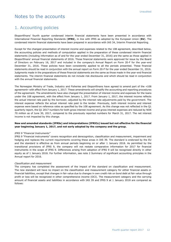### <span id="page-11-0"></span>Notes to the accounts

### 1. Accounting policies

Eksportfinans' fourth quarter condensed interim financial statements have been presented in accordance with International Financial Reporting Standards (**IFRS**), in line with IFRS as adopted by the European Union (**EU**). The condensed interim financial statements have been prepared in accordance with IAS 34, Interim Financial Reporting.

Except for the changed presentation of interest income and expenses related to the 108 agreement, described below, the accounting policies and methods of computation applied in the preparation of these condensed interim financial statements (including information as of and for the year ended December 31, 2016) are the same as those applied in Eksportfinans' annual financial statements of 2016. Those financial statements were approved for issue by the Board of Directors on February 16, 2017 and included in the company's Annual Report on Form 20-F for the year-end December 31, 2016. These policies have been consistently applied to all the periods presented. These financial statements should be read in conjunction with the annual report on Form 20-F for the year ended December 31, 2016. Judgments made in the preparations of these financial statements are the same as those made in the year-end financial statements. The interim financial statements do not include risk disclosures and which should be read in conjunction with the annual financial statements.

The Norwegian Ministry of Trade, Industry and Fisheries and Eksportfinans have agreed to amend part of the «108 agreement» with effect from January 1, 2017. These amendments will simplify the accounting and reporting procedures of the agreement. The amendments have also changed the presentation of interest income and expenses for the loans under the 108 agreement, with the effect from January 1, 2017. From January 1, 2017, the interest income reflects the actual interest rate paid by the borrower, adjusted by the interest rate adjustments paid by the government. The interest expense reflects the actual interest rate paid to the lender. Previously, both interest income and interest expense were based on reference rates as specified by the 108 agreement. As this change was not reflected in the Q1 quarterly report, the Q1 2017 numbers for both gross interest income and gross interest expenses are reduced by NOK 70 million as of June 30, 2017, compared to the previously reported numbers for March 31, 2017. The net interest income is not impacted by this change.

#### **New and amended standards (IFRSs) and interpretations (IFRICs) issued but not effective for the financial year beginning January 1, 2017, and not early adopted by the company and the group.**

#### *IFRS 9 "Financial Instruments"*

IFRS 9 "Financial instruments" covers recognition and derecognition, classification and measurement, impairment and hedging and replaces the current requirements covering these areas in IAS 39. The standard is endorsed by the EU and the standard is effective as from annual periods beginning on or after 1 January 2018. As permitted by the transitional provisions of IFRS 9, the company will not restate comparative information for 2017 for financial instruments in the scope of IFRS 9. Differences arising from adoption of IFRS 9 will be recognised directly in other equity as of 1 January 2018. For further information, see note 2 Summary of significant accounting principles in the Annual report for 2016.

#### *Classification and measurement*

The company has completed the assessment of the impact of the standard on classification and measurement. The new standard will have no impact on the classification and measurement category for either financial assets or financial liabilities, except that changes in fair value due to changes in own credit risk on bond debt at fair value through profit or loss will be recognized in other comprehensive income (OCI). The measurement category and the carrying amount of financial assets and liabilities in accordance with IAS 39 and IFRS 9 at 1 January 2018 are compared as follows: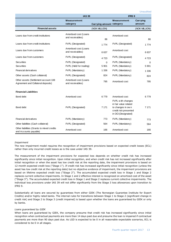|                                                                                                                                                                                                                                                                                                                                                                                                                                                                                                                                                                                                                                                                                                                                                                                                                                                                                                                                                                                                                                                                                                                                                                                                                                                                                                                                                             | <b>IAS 39</b>                             |                          | <b>IFRS 9</b>                                                                                                   |                    |  |  |
|-------------------------------------------------------------------------------------------------------------------------------------------------------------------------------------------------------------------------------------------------------------------------------------------------------------------------------------------------------------------------------------------------------------------------------------------------------------------------------------------------------------------------------------------------------------------------------------------------------------------------------------------------------------------------------------------------------------------------------------------------------------------------------------------------------------------------------------------------------------------------------------------------------------------------------------------------------------------------------------------------------------------------------------------------------------------------------------------------------------------------------------------------------------------------------------------------------------------------------------------------------------------------------------------------------------------------------------------------------------|-------------------------------------------|--------------------------|-----------------------------------------------------------------------------------------------------------------|--------------------|--|--|
|                                                                                                                                                                                                                                                                                                                                                                                                                                                                                                                                                                                                                                                                                                                                                                                                                                                                                                                                                                                                                                                                                                                                                                                                                                                                                                                                                             | <b>Measurement</b><br>category            | Carrying amount category | <b>Measurement</b>                                                                                              | Carrying<br>amount |  |  |
| <b>Financial assets</b>                                                                                                                                                                                                                                                                                                                                                                                                                                                                                                                                                                                                                                                                                                                                                                                                                                                                                                                                                                                                                                                                                                                                                                                                                                                                                                                                     |                                           | (NOK MILLION)            |                                                                                                                 | (NOK MILLION)      |  |  |
| Loans due from credit institutions                                                                                                                                                                                                                                                                                                                                                                                                                                                                                                                                                                                                                                                                                                                                                                                                                                                                                                                                                                                                                                                                                                                                                                                                                                                                                                                          | Amortised cost (Loans<br>and receivables) | 86                       | Amortised cost                                                                                                  | 86                 |  |  |
| Loans due from credit institutions                                                                                                                                                                                                                                                                                                                                                                                                                                                                                                                                                                                                                                                                                                                                                                                                                                                                                                                                                                                                                                                                                                                                                                                                                                                                                                                          | FVPL (Designated)                         | 1 7 7 4                  | FVPL (Designated)                                                                                               | 1 7 7 4            |  |  |
| Loans due from customers                                                                                                                                                                                                                                                                                                                                                                                                                                                                                                                                                                                                                                                                                                                                                                                                                                                                                                                                                                                                                                                                                                                                                                                                                                                                                                                                    | Amortised cost (Loans<br>and receivables) | 6 6 3 7                  | Amortised cost                                                                                                  | 6637               |  |  |
| Loans due from customers                                                                                                                                                                                                                                                                                                                                                                                                                                                                                                                                                                                                                                                                                                                                                                                                                                                                                                                                                                                                                                                                                                                                                                                                                                                                                                                                    | FVPL (Designated)                         | 4723                     | FVPL (Designated)                                                                                               | 4 7 2 3            |  |  |
| <b>Securities</b>                                                                                                                                                                                                                                                                                                                                                                                                                                                                                                                                                                                                                                                                                                                                                                                                                                                                                                                                                                                                                                                                                                                                                                                                                                                                                                                                           | FVPL (Designated)                         | 0                        | FVPL (Mandatory)                                                                                                | 0                  |  |  |
| <b>Securities</b>                                                                                                                                                                                                                                                                                                                                                                                                                                                                                                                                                                                                                                                                                                                                                                                                                                                                                                                                                                                                                                                                                                                                                                                                                                                                                                                                           | FVPL (Held for trading)                   | 5 9 0 1                  | FVPL (Mandatory)                                                                                                | 5 9 0 1            |  |  |
| <b>Financial derivatives</b>                                                                                                                                                                                                                                                                                                                                                                                                                                                                                                                                                                                                                                                                                                                                                                                                                                                                                                                                                                                                                                                                                                                                                                                                                                                                                                                                | FVPL (Mandatory)                          | 1 3 3 6                  | FVPL (Mandatory)                                                                                                | 1 3 3 6            |  |  |
| Other assets (Cash collateral)                                                                                                                                                                                                                                                                                                                                                                                                                                                                                                                                                                                                                                                                                                                                                                                                                                                                                                                                                                                                                                                                                                                                                                                                                                                                                                                              | FVPL (Designated)                         | 824                      | FVPL (Mandatory)                                                                                                | 824                |  |  |
| Other assets (Settlement account 108<br>Agreement and Collateral deposits)                                                                                                                                                                                                                                                                                                                                                                                                                                                                                                                                                                                                                                                                                                                                                                                                                                                                                                                                                                                                                                                                                                                                                                                                                                                                                  | Amortised cost (Loans<br>and receivables) | 795                      | Amortised cost                                                                                                  | 795                |  |  |
| <b>Financial Liabilities</b>                                                                                                                                                                                                                                                                                                                                                                                                                                                                                                                                                                                                                                                                                                                                                                                                                                                                                                                                                                                                                                                                                                                                                                                                                                                                                                                                |                                           |                          |                                                                                                                 |                    |  |  |
| Bond debt                                                                                                                                                                                                                                                                                                                                                                                                                                                                                                                                                                                                                                                                                                                                                                                                                                                                                                                                                                                                                                                                                                                                                                                                                                                                                                                                                   | Amortised cost                            | 6779                     | Amortised cost                                                                                                  | 6779               |  |  |
| Bond debt                                                                                                                                                                                                                                                                                                                                                                                                                                                                                                                                                                                                                                                                                                                                                                                                                                                                                                                                                                                                                                                                                                                                                                                                                                                                                                                                                   | FVPL (Designated)                         | 7 1 7 1                  | FVPL with changes<br>in fair value related<br>to changes in own<br>credit risk presented<br>in OCI (Designated) | 7 1 7 1            |  |  |
| <b>Financial derivatives</b>                                                                                                                                                                                                                                                                                                                                                                                                                                                                                                                                                                                                                                                                                                                                                                                                                                                                                                                                                                                                                                                                                                                                                                                                                                                                                                                                | FVPL (Mandatory)                          | 773                      | FVPL (Mandatory)                                                                                                | 773                |  |  |
| Other liabilities (Cash collateral)                                                                                                                                                                                                                                                                                                                                                                                                                                                                                                                                                                                                                                                                                                                                                                                                                                                                                                                                                                                                                                                                                                                                                                                                                                                                                                                         | FVPL (Designated)                         | 564                      | FVPL (Mandatory)                                                                                                | 564                |  |  |
| Other liabilities (Grants to mixed credits<br>and Accounts payable)                                                                                                                                                                                                                                                                                                                                                                                                                                                                                                                                                                                                                                                                                                                                                                                                                                                                                                                                                                                                                                                                                                                                                                                                                                                                                         | Amortised cost                            | 166                      | Amortised cost                                                                                                  | 166                |  |  |
| Impairment<br>The new impairment model requires the recognition of impairment provisions based on expected credit losses (ECL)<br>rather than only incurred credit losses as is the case under IAS 39.<br>The measurement of the impairment provisions for expected loss depends on whether credit risk has increased<br>significantly since initial recognition. Upon initial recognition, and when credit risk has not increased significantly after<br>initial recognition or when the asset has low credit risk at the reporting date, the impairment provisions is based on<br>12-month expected credit loss ("Stage 1"). If credit risk has increased significantly since initial recognition (unless the<br>asset has low credit risk at the reporting date) but no objective evidence of impairment, the impairment provisions are<br>based on lifetime expected credit loss ("Stage 2"). The accumulated expected credit loss in Stage 1 and Stage 2<br>replaces current collective impairments. In Stage 1 and 2 effective interest is recognized on amortized cost of the asset<br>("Stage 3"). The accumulated expected credit loss in Stage 1 and Stage 2 replaces current collective impairments. The<br>individual loss provisions under IAS 39 will not differ significantly from the Stage 3 loss allowances upon transition to<br>IFRS 9. |                                           |                          |                                                                                                                 |                    |  |  |
| Substantially all loans are secured by guarantees from either GIEK (The Norwegian Guarantee Institute for Export<br>Credits) and/or highly rated banks. The internal rules for transitions between Stage 1 to Stage 2 (significant change in<br>credit risk) and Stage 2 to Stage 3 (credit impaired) is based upon whether the loans are guaranteed by GIEK or only<br>by banks.                                                                                                                                                                                                                                                                                                                                                                                                                                                                                                                                                                                                                                                                                                                                                                                                                                                                                                                                                                           |                                           |                          |                                                                                                                 |                    |  |  |
| Loans guaranteed by GIEK<br>When loans are guaranteed by GIEK, the company presume that credit risk has increased significantly since initial<br>recognition when contractual payments are more than 14 days past due and presume the loan is impaired if contractual<br>payments are more than 90 days past due. As LGD is expected to be 0 in all reasonable expectable scenarios, ECL is<br>considered to be 0 in all stages.                                                                                                                                                                                                                                                                                                                                                                                                                                                                                                                                                                                                                                                                                                                                                                                                                                                                                                                            |                                           |                          |                                                                                                                 |                    |  |  |

#### *Impairment*

#### *Loans guaranteed by GIEK*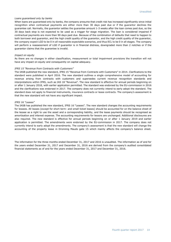#### *Loans guaranteed only by banks*

When loans are guaranteed only by banks, the company presume that credit risk has increased significantly since initial recognition when contractual payments are either more than 30 days past due or if the guarantor declines the guarantee call. Normally, the guarantor settles the guarantee amount 1-3 weeks after the loan comes past due, so the 30 days back stop is not expected to be used as a trigger for stage migration. The loan is considered impaired if contractual payments are more than 90 days past due. Because of the combination of defaults that need to happen to both borrower and guarantor, and the high credit quality of the guarantor, and the high credit quality of the guarantor, the company expect LGD to be 0 in all reasonable expectable scenarios, and thus ECL to be 0 in all stages. The company will perform a reassessment of LGD if guarantor is in financial distress, downgraded more than 2 notches or if the guarantor claims that the guarantee is invalid.

#### *Impact on equity*

As there are no changes in either classification, measurement or total impairment provisions the transition will not have any impact on equity and consequently on capital adequacy.

#### *IFRS 15 "Revenue from Contracts with Customers"*

The IASB published the new standard, IFRS 15 "Revenue from Contracts with Customers" in 2014. Clarifications to the standard were published in April 2016. The new standard outlines a single comprehensive model of accounting for revenue arising from contracts with customers and supersedes current revenue recognition standards and interpretations within IFRS, such as IAS 18 "Revenue". The new standard is effective for annual periods beginning on or after 1 January 2018, with earlier application permitted. The standard was endorsed by the EU-commission in 2016 and the clarifications was endorsed in 2017. The company does not currently intend to early adopt the standard. The standard does not apply to financial instruments, insurance contracts or lease contracts. The company's assessment is that the new standard will not have any significant impact.

#### *IFRS 16 "Leases"*

The IASB has published the new standard, IFRS 16 "Leases". The new standard changes the accounting requirements for lessees. All leases (except for short term- and small ticket leases) should be accounted for on the balance sheet of the lessee as a right to use the asset and a corresponding liability, and the lease payments should be recognised as amortisation and interest expense. The accounting requirements for lessors are unchanged. Additional disclosures are also required. The new standard is effective for annual periods beginning on or after 1 January 2019 and earlier application is permitted. The amendments were endorsed by the EU-commission in 2017. The company does not currently intend to early adopt the amendments. The company's assessment is that the new standard will change the accounting of the property lease in Dronning Mauds gate 15 which mainly affects the company's balance sheet.

The information for the three months ended December 31, 2017 and 2016 is unaudited. The information as of and for the years ended December 31, 2017 and December 31, 2016 are derived from the company's audited consolidated financial statements as of and for the years ended December 31, 2017 and December 31, 2016.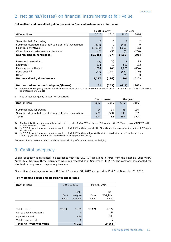### 2. Net gains/(losses) on financial instruments at fair value

#### **Net realized and unrealized gains/(losses) on financial instruments at fair value**

|                                                               | Fourth quarter |       | The year |       |
|---------------------------------------------------------------|----------------|-------|----------|-------|
| (NOK million)                                                 | 2016<br>2017   |       | 2017     | 2016  |
|                                                               |                |       |          |       |
| Securities held for trading                                   | 0              | 0     | 0        | 2     |
| Securities designated as at fair value at initial recognition | (205)          | 0     | (455)    | 0     |
| Financial derivatives 1)                                      | (1,038)        | (4)   | (1,052)  | (25)  |
| Other financial instruments at fair value                     | (2)            | (53   | (8)      | (268) |
| Net realized gains/(losses)                                   | (1, 245)       | (57)  | (1, 515) | (291) |
|                                                               |                |       |          |       |
| Loans and receivables                                         | (3)            | (4)   | 9        | 95    |
| Securities <sup>2)</sup>                                      | 234            | 12    | 587      | 173   |
| Financial derivatives 3)                                      | 1,084          | 248   | 1,073    | (834) |
| Bond debt $4)$ 5)                                             | (40)           | (454) | (567)    | (46)  |
| Other                                                         | 2              |       | (1)      | 0     |
| Net unrealized gains/(losses)                                 | 1,277          | (196) | 1,101    | (612) |
|                                                               |                |       |          |       |
| Net realized and unrealized gains/(losses)                    | 32             | (253) | (414)    | (903) |

1) The Portfolio Hedge Agreement is included with a loss of NOK 1,052 million as of December 31, 2017 and a loss of NOK 25 million as of December 31, 2016.

#### 2) Net unrealized gains/(losses) on securities

|                                                               |      | Fourth quarter |      | The vear |
|---------------------------------------------------------------|------|----------------|------|----------|
| (NOK million)                                                 | 2017 | 2016           | 2017 | 2016     |
|                                                               |      |                |      |          |
| Securities held for trading                                   | 14   | 35             | 88   | 136      |
| Securities designated as at fair value at initial recognition | 220  | (23)           | 499  | 37       |
| <b>Total</b>                                                  | 234  | 12             | 587  | 173      |

3) The Portfolio Hedge Agreement is included with a gain of NOK 897 million as of December 31, 2017 and a loss of NOK 77 million as of December 31, 2016.

4) In 2017, Eksportfinans had an unrealized loss of NOK 567 million (loss of NOK 46 million in the corresponding period of 2016) on its own debt.

5) In 2017, Eksportfinans had an unrealized loss of NOK 567 million of financial liabilities classified as level 3 in the fair value hierarchy (loss of NOK 46 million in the corresponding period of 2016).

See note 15 for a presentation of the above table including effects from economic hedging.

### 3. Capital adequacy

Capital adequacy is calculated in accordance with the CRD IV regulations in force from the Financial Supervisory Authority of Norway. These regulations were implemented as of September 30, 2014. The company has adopted the standardized approach to capital requirements.

Eksportfinans' leverage ratio<sup>1)</sup> was 31.1 % at December 31, 2017, compared to 19.4 % at December 31, 2016.

#### **Risk-weighted assets and off-balance sheet items**

| (NOK million)             |                      | Dec 31, 2017       | Dec 31, 2016         |                   |
|---------------------------|----------------------|--------------------|----------------------|-------------------|
|                           |                      | Risk-              |                      | Risk-             |
|                           | <b>Book</b><br>value | weighte<br>d value | <b>Book</b><br>value | Weighted<br>value |
|                           |                      |                    |                      |                   |
|                           |                      |                    |                      |                   |
| Total assets              | 22,398               | 6,429              | 33,171               | 9,922             |
| Off-balance sheet items   |                      | 0                  |                      | 51                |
| Operational risk          |                      | 490                |                      | 588               |
| Total currency risk       |                      | $\Omega$           |                      | 0                 |
| Total risk-weighted value |                      | 6,919              |                      | 10,561            |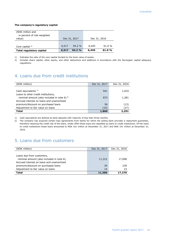#### **The company's regulatory capital**

| (NOK million and            |       |              |              |       |
|-----------------------------|-------|--------------|--------------|-------|
| in percent of risk-weighted |       |              |              |       |
| value)                      |       | Dec 31, 2017 | Dec 31, 2016 |       |
|                             |       |              |              |       |
| Core capital $2$            | 6,517 | $94.2 \%$    | 6,445        | 61.0% |
| Total regulatory capital    | 6,517 | 94.2%        | 6,445        | 61.0% |

1) Indicates the ratio of the core capital divided by the book value of assets.

2) Includes share capital, other equity, and other deductions and additions in accordance with the Norwegian capital adequacy regulations.

### 4. Loans due from credit institutions

| (NOK million)                                     | Dec 31, 2017 | Dec 31, 2016 |
|---------------------------------------------------|--------------|--------------|
|                                                   |              |              |
| Cash equivalents <sup>1)</sup>                    | 941          | 1,010        |
| Loans to other credit institutions,               |              |              |
| nominal amount (also included in note 6) $^{2}$ ) | 873          | 1,281        |
| Accrued interest on loans and unamortized         |              |              |
| premium/discount on purchased loans               | 56           | (13)         |
| Adjustment to fair value on loans                 | (10)         | (27)         |
| <b>Total</b>                                      | 1,860        | 2,251        |

1) Cash equivalents are defined as bank deposits with maturity of less than three months.

2) The company has acquired certain loan agreements from banks for which the selling bank provides a repayment guarantee, therefore retaining the credit risk of the loans. Under IFRS these loans are classified as loans to credit institutions. Of the loans to credit institutions these loans amounted to NOK 161 million at December 31, 2017 and NOK 191 million at December 31, 2016.

### 5. Loans due from customers

| (NOK million)                             | Dec 31, 2017 | Dec 31, 2016 |
|-------------------------------------------|--------------|--------------|
|                                           |              |              |
| Loans due from customers,                 |              |              |
| nominal amount (also included in note 6)  | 11,312       | 17,008       |
| Accrued interest on loans and unamortized |              |              |
| premium/discount on purchased loans       | 34           | 239          |
| Adjustment to fair value on loans         | 14           | 23           |
| <b>Total</b>                              | 11,360       | 17,270       |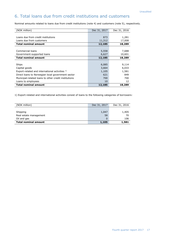### 6. Total loans due from credit institutions and customers

Nominal amounts related to loans due from credit institutions (note 4) and customers (note 5), respectively.

| (NOK million)                                        | Dec 31, 2017 | Dec 31, 2016 |
|------------------------------------------------------|--------------|--------------|
|                                                      |              |              |
| Loans due from credit institutions                   | 873          | 1,281        |
| Loans due from customers                             | 11,312       | 17,008       |
| <b>Total nominal amount</b>                          | 12,185       | 18,289       |
|                                                      |              |              |
| Commercial loans                                     | 5,558        | 7,688        |
| Government-supported loans                           | 6,627        | 10,601       |
| <b>Total nominal amount</b>                          | 12,185       | 18,289       |
|                                                      |              |              |
| Ships                                                | 6,085        | 9,114        |
| Capital goods                                        | 3,664        | 6,033        |
| Export-related and international activities 1)       | 1,105        | 1,581        |
| Direct loans to Norwegian local government sector    | 621          | 849          |
| Municipal-related loans to other credit institutions | 700          | 700          |
| Loans to employees                                   | 10           | 12           |
| <b>Total nominal amount</b>                          | 12,185       | 18,289       |

1) Export-related and international activities consist of loans to the following categories of borrowers:

| (NOK million)               | Dec 31, 2017 | Dec 31, 2016 |
|-----------------------------|--------------|--------------|
|                             |              |              |
| Shipping                    | 1,047        | 1,405        |
| Real estate management      | 58           | 70           |
| Oil and gas                 |              | 106          |
| <b>Total nominal amount</b> | 1,105        | 1,581        |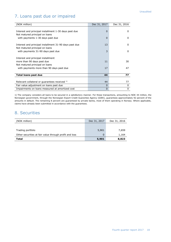### 7. Loans past due or impaired

| (NOK million)                                          | Dec 31, 2017 | Dec 31, 2016 |
|--------------------------------------------------------|--------------|--------------|
|                                                        |              |              |
| Interest and principal installment 1-30 days past due  | $\Omega$     | 0            |
| Not matured principal on loans                         |              |              |
| with payments 1-30 days past due                       | $\Omega$     | <sup>0</sup> |
|                                                        |              |              |
| Interest and principal installment 31-90 days past due | 13           | <sup>0</sup> |
| Not matured principal on loans                         |              |              |
| with payments 31-90 days past due                      | 3            | $\Omega$     |
|                                                        |              |              |
| Interest and principal installment                     |              |              |
| more than 90 days past due                             | 11           | 30           |
| Not matured principal on loans                         |              |              |
| with payments more than 90 days past due               | 17           | 47           |
|                                                        |              |              |
| Total loans past due                                   | 44           | 77           |
|                                                        |              |              |
| Relevant collateral or guarantees received 1)          | 44           | 77           |
| Fair value adjustment on loans past due                | 0            | 0            |
| Impairments on loans measured at amortized cost        | 0            | 0            |

1) The company considers all loans to be secured in a satisfactory manner. For these transactions, amounting to NOK 44 million, the Norwegian government, through the Norwegian Export Credit Guarantee Agency (GIEK), guarantees approximately 92 percent of the amounts in default. The remaining 8 percent are guaranteed by private banks, most of them operating in Norway. Where applicable, claims have already been submitted in accordance with the guarantees.

### 8. Securities

| (NOK million)                                          | Dec 31, 2017 | Dec 31, 2016 |
|--------------------------------------------------------|--------------|--------------|
|                                                        |              |              |
| Trading portfolio                                      | 5,901        | 7,659        |
| Other securities at fair value through profit and loss | 0            | 1,164        |
| Total                                                  | 5,901        | 8,823        |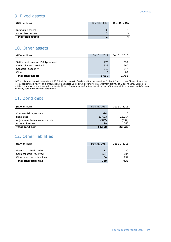### 9. Fixed assets

| <b>Total fixed assets</b> |              |              |
|---------------------------|--------------|--------------|
| Other fixed assets        |              |              |
| Intangible assets         |              |              |
|                           |              |              |
| (NOK million)             | Dec 31, 2017 | Dec 31, 2016 |

### 10. Other assets

| (NOK million)                    | Dec 31, 2017 | Dec 31, 2016 |
|----------------------------------|--------------|--------------|
|                                  |              |              |
| Settlement account 108 Agreement | 173          | 397          |
| Cash collateral provided         | 823          | 1,660        |
| Collateral deposit $1$ )         | 617          | 647          |
| Other                            | 6            | 82           |
| <b>Total other assets</b>        | 1,619        | 2,786        |

1) The collateral deposit relates to a USD 75 million deposit of collateral for the benefit of Citibank N.A. to cover Eksportfinans' day to day settlement activity. This amount can be adjusted up or down depending on settlement activity of Eksportfinans. Citibank is entitled to at any time without prior notice to Eksportfinans to set-off or transfer all or part of the deposit in or towards satisfaction of all or any part of the secured obligations.

### 11. Bond debt

| (NOK million)                    | Dec 31, 2017 | Dec 31, 2016 |
|----------------------------------|--------------|--------------|
|                                  |              |              |
| Commercial paper debt            | 394          |              |
| Bond debt                        | 13,693       | 23,254       |
| Adjustment to fair value on debt | (327)        | (894)        |
| Accrued interest                 | 190          | 260          |
| <b>Total bond debt</b>           | 13,950       | 22,620       |

### 12. Other liabilities

| (NOK million)                  | Dec 31, 2017 | Dec 31, 2016 |
|--------------------------------|--------------|--------------|
|                                |              |              |
| Grants to mixed credits        | 12           | 20           |
| Cash collateral received       | 564          | 684          |
| Other short-term liabilities   | 154          | 231          |
| <b>Total other liabilities</b> | 730          | 935          |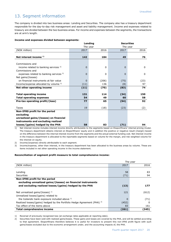### 13. Segment information

The company is divided into two business areas: Lending and Securities. The company also has a treasury department responsible for the day-to-day risk management and asset and liability management. Income and expenses related to treasury are divided between the two business areas. For income and expenses between the segments, the transactions are at arm's length.

#### **Income and expenses divided between segments:**

|                                                    |          | Lending  | <b>Securities</b> |          |
|----------------------------------------------------|----------|----------|-------------------|----------|
|                                                    | The year |          | The year          |          |
| (NOK million)                                      | 2017     | 2016     | 2017              | 2016     |
|                                                    |          |          |                   |          |
| Net interest income $1$ )                          | 142      | 184      | 49                | 76       |
|                                                    |          |          |                   |          |
| Commissions and                                    |          |          |                   |          |
| income related to banking services $2$ )           | 0        | 0        | $\Omega$          | $\Omega$ |
| Commissions and                                    |          |          |                   |          |
| expenses related to banking services <sup>2)</sup> | 0        | $\Omega$ | 0                 | $\Omega$ |
| Net gains/(losses)                                 |          |          |                   |          |
| on financial instruments at fair value             | 0        | (206)    | (75)              | (23)     |
| Income/expense allocated by volume 3)              | (11)     | 136      | (8)               | 97       |
| Net other operating income                         | (11)     | (70)     | (83)              | 74       |
|                                                    |          |          |                   |          |
| <b>Total operating income</b>                      | 131      | 114      | (34)              | 150      |
| <b>Total operating expenses</b>                    | 54       | 49       | 60                | 58       |
| Pre-tax operating profit/(loss)                    | 77       | 65       | (94)              | 92       |
|                                                    |          |          |                   |          |
| Taxes                                              | 19       | (18)     | (23)              | (2)      |
| Non-IFRS profit for the period                     |          |          |                   |          |
| excluding                                          |          |          |                   |          |
| unrealized gains/(losses) on financial             |          |          |                   |          |
| instruments and excluding realized                 |          |          |                   |          |
| losses/(gains) hedged by the PHA                   | 58       | 83       | (71)              | 94       |

1) Net interest income includes interest income directly attributable to the segments based on Eksportfinans' internal pricing model. The treasury department obtains interest on Eksportfinans' equity and in addition the positive or negative result (margin) based on the difference between the internal interest income from the segments and the actual external funding cost. Net interest income in the treasury department is allocated to the reportable segments based on volume for the margin, and risk weighted volume for the interest on equity.

2) Income/(expense) directly attributable to each segment.

3) Income/expense, other than interest, in the treasury department has been allocated to the business areas by volume. These are items included in net other operating income in the income statement.

#### **Reconciliation of segment profit measure to total comprehensive income:**

|                                                                                     |          | The year |
|-------------------------------------------------------------------------------------|----------|----------|
| (NOK million)                                                                       | 2017     | 2016     |
|                                                                                     |          |          |
| Lending                                                                             | 58       | 83       |
| Securities                                                                          | (71)     | 94       |
| Non-IFRS profit for the period                                                      |          |          |
| excluding unrealized gains/(losses) on financial instruments                        |          |          |
| and excluding realized losses/(gains) hedged by the PHA                             | (13)     | 177      |
| Net unrealized gains/(losses) $1$                                                   | 121      | (612)    |
| Unrealized losses/(gains) related to                                                |          |          |
| the Icelandic bank exposure included above 1)                                       | $\Omega$ | (71)     |
| Realized losses/(gains) hedged by the Portfolio Hedge Agreement (PHA) <sup>2)</sup> | (452)    | 0        |
| Tax effect of the items above                                                       | 83       | 161      |
| <b>Total comprehensive income</b>                                                   | (261)    | (345)    |

1) Reversal of previously recognized loss (at exchange rates applicable at reporting date).

2) Securities have been sold with realized gains/losses. These gains and losses are covered by the PHA, and will be settled according to that agreement. Eksportfinans therefore believes it is useful for investors to present this non-IFRS profit figure with such gains/losses excluded due to the economic arrangement under, and the accounting impacts of, the PHA.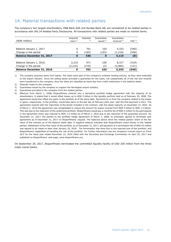### 14. Material transactions with related parties

The company's two largest shareholders, DNB Bank ASA and Nordea Bank AB, are considered to be related parties in accordance with IAS 24 Related Party Disclosures. All transactions with related parties are made on market terms.

|                                  | Acquired  | Deposits | Guarantees   | Guarantees     |                  |
|----------------------------------|-----------|----------|--------------|----------------|------------------|
| (NOK million)                    | loans $1$ | 2)       | issued $3$ ) | received $4$ ) | PHA <sup>5</sup> |
|                                  |           |          |              |                |                  |
| Balance January 1, 2017          | 0         | 701      | 103          | 5,333          | (540)            |
| Change in the period             | 0         | (165)    | (103)        | (1,218)        | (540)            |
| <b>Balance December 31, 2017</b> | 0         | 536      | $\mathbf 0$  | 4,115          | (0)              |
|                                  |           |          |              |                |                  |
| Balance January 1, 2016          | 2,210     | 971      | 105          | 8,317          | (419)            |
| Change in the period             | (2,210)   | (270)    | (2)          | (2,984)        | (121)            |
| <b>Balance December 31, 2016</b> | 0         | 701      | 103          | 5,333          | (540)            |

1) The company acquired loans from banks. The loans were part of the company's ordinary lending activity, as they were extended to the export industry. Since the selling banks provided a guarantee for the loans, not substantially all of the risk and rewards were transferred to the company, thus the loans are classified as loans due from credit institutions in the balance sheet.

2) Deposits made by the company.

3) Guarantees issued by the company to support the Norwegian export industry.

4) Guarantees provided to the company from the related parties.

5) Effective from March 1, 2008, Eksportfinans entered into a derivative portfolio hedge agreement with the majority of its shareholders. It stated that it would offset losses up to NOK 5 billion in the liquidity portfolio held as of February 29, 2008. The agreement would also offset any gains in the portfolio as of the same date. Payments to or from the company related to the losses or gains, respectively, in the portfolio, would take place on the last day of February each year, with the first payment in 2011. The agreement expired with the maturities of the bonds included in the contract, with the latest maturity on December 31, 2023. As of March 1, 2016 the agreement was renegotiated to reduce the amount for losses covered from NOK 5 billion to NOK 1.5 billion. This was due to the reduction of the underlying portfolio. Eksportfinans would pay a monthly fee of NOK 5 million to the participants in the agreement which was reduced to NOK 1.5 million as of March 1, 2016 due to the reduction of the guarantee amount. On December 21, 2017, the parties to the portfolio hedge agreement of March 1, 2008, as amended, agreed to terminate said agreement as of December 31, 2017 on Eksportfinans' request. The balances above show the related parties' share of the fair value of the contract as of the balance sheet date. A negative balance indicates that Eksportfinans owed money to the related parties. Settlement of the final value of the portfolio, as of December 31, 2017, and payment of a termination fee of NOK 55 million was agreed to be made no later than January 18, 2018. The termination was done due to the reduced size of the portfolio, and Eksportfinans' capabilities of handling the risk of the portfolio. For further information see the company's annual report on Form 20-F for the fiscal year ended December 31, 2016 (filed with the Securities and Exchange Commission on April 25, 2017 and published on Eksportfinans' web page, [www.eksportfinans.no\)](http://www.eksportfinans.no/).

On September 29, 2017, Eksportfinans terminated the committed liquidity facility of USD 250 million from the three major owner banks.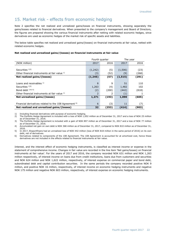### 15. Market risk - effects from economic hedging

Note 2 specifies the net realized and unrealized gains/losses on financial instruments, showing separately the gains/losses related to financial derivatives. When presented to the company's management and Board of Directors, the figures are prepared showing the various financial instruments after netting with related economic hedges, since derivatives are used as economic hedges of the market risk of specific assets and liabilities.

The below table specifies net realized and unrealized gains/(losses) on financial instruments at fair value, netted with related economic hedges.

#### **Net realized and unrealized gains/(losses) on financial instruments at fair value**

|                                                                  |          | Fourth quarter | The year |       |  |
|------------------------------------------------------------------|----------|----------------|----------|-------|--|
| (NOK million)                                                    | 2017     | 2016           | 2017     | 2016  |  |
|                                                                  |          |                |          |       |  |
| Securities $1/2$                                                 | (1,242)  | (5)            | (1,506)  | (23)  |  |
| Other financial instruments at fair value 1)                     | (3)      | (52)           | (9)      | (268) |  |
| Net realized gains/(losses)                                      | (1, 245) | (57)           | (1, 515) | (291) |  |
|                                                                  |          |                |          |       |  |
| Loans and receivables $1$ )                                      | 8        | 9              | 51       | 110   |  |
| Securities $133$                                                 | 1,263    | (4)            | 1,482    | 102   |  |
| Bond debt $1)4)$ 5)                                              | (2)      | (200)          | (442)    | (818) |  |
| Other financial instruments at fair value 1)                     |          |                | (1)      |       |  |
| Net unrealized gains/(losses)                                    | 1,271    | (193)          | 1,090    | (605) |  |
|                                                                  |          |                |          |       |  |
| Financial derivatives related to the 108 Agreement <sup>6)</sup> | 6        | (3)            | 11       | (7)   |  |
| Net realized and unrealized gains/(losses)                       | 32       | (253)          | (414)    | (903) |  |

1) Including financial derivatives with purpose of economic hedging.<br>2) The Portfolio Hedge Agreement is included with a loss of NOK 1,0

2) The Portfolio Hedge Agreement is included with a loss of NOK 1,052 million as of December 31, 2017 and a loss of NOK 25 million as of December 31, 2016.

3) The Portfolio Hedge Agreement is included with a gain of NOK 897 million as of December 31, 2017 and a loss of NOK 77 million as of December 31, 2016.

4) Accumulated net gain on own debt is NOK 368 million as of December 31, 2017, compared to NOK 810 million as of December 31, 2016.

5) In 2017, Eksportfinans had an unrealized loss of NOK 442 million (loss of NOK 818 million in the same period of 2016) on its own debt, net of derivatives.

6) Derivatives related to components of the 108 Agreement. The 108 Agreement is accounted for at amortized cost, hence these derivatives are not included in the effects related to financial instruments at fair value.

Interest, and the interest effect of economic hedging instruments, is classified as interest income or expense in the statement of comprehensive income. Changes in fair value are recorded in the line item 'Net gains/losses) on financial instruments at fair value'. For the years of 2017 and 2016, the company recorded NOK 631 million and NOK 1,263 million respectively, of interest income on loans due from credit institutions, loans due from customers and securities and NOK 624 million and NOK 1,622 million, respectively, of interest expense on commercial paper and bond debt, subordinated debt and capital contribution securities. In the same periods the company recorded positive NOK 9 million, and positive NOK 16 million, respectively, of interest income on economic hedging instruments and negative NOK 175 million and negative NOK 603 million, respectively, of interest expense on economic hedging instruments.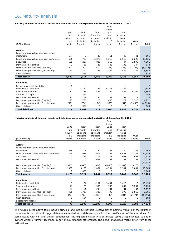### 16. Maturity analysis

#### **Maturity analysis of financial assets and liabilities based on expected maturities at December 31, 2017**

|                                                            |                     |           |           | From     |           |          |          |
|------------------------------------------------------------|---------------------|-----------|-----------|----------|-----------|----------|----------|
|                                                            |                     |           |           | 1 year   |           |          |          |
|                                                            | Up to               | From      | From      | up to    | From      |          |          |
|                                                            | and                 | 1 month   | 3 months  | and      | 3 year up |          |          |
|                                                            | includin            | up to and | up to and | includin | to and    |          |          |
|                                                            | q <sub>1</sub>      | including | including | g 3      | including | Over     |          |
| (NOK million)                                              | month               | 3 months  | 1 year    | years    | 5 years   | 5 years  | Total    |
| <b>Assets</b>                                              |                     |           |           |          |           |          |          |
| Loans and receivables due from credit                      |                     |           |           |          |           |          |          |
| institutions                                               | 333                 | 5         | 23        | 51       | 48        | 41       | 501      |
| Loans and receivables due from customers                   | 526                 | 789       | 2,270     | 5,317    | 2,513     | 2,220    | 13,635   |
| Securities                                                 | 181                 | 217       | 806       | 360      | 44        | 2,593    | 4,201    |
| Derivatives net settled                                    | 0                   | 28        | 28        | 105      | 105       | 347      | 614      |
| Derivatives gross settled (pay leg)                        | (161)               | (1, 169)  | (299)     | (3, 101) | (2, 435)  | (1, 183) | (8,348)  |
| Derivatives gross settled (receive leg)                    | 161                 | 1,317     | 336       | 3,247    | 2,449     | 1,334    | 8,844    |
| Cash collateral                                            | 0                   | 823       | 0         | 0        | 0         | 0        | 823      |
| <b>Total assets</b>                                        | 1,040               | 2,011     | 3,163     | 5,980    | 2,723     | 5,352    | 20,269   |
| <b>Liabilities</b>                                         |                     |           |           |          |           |          |          |
|                                                            |                     | 0         | 0         | $\Omega$ | $\Omega$  | 0        | $\Omega$ |
| Deposits by credit institutions<br>Plain vanilla bond debt | 0<br>$\overline{7}$ | 1,277     | 89        | 4,771    | 1,742     | 0        | 7,886    |
| Structured bond debt                                       | 80                  | 145       | 456       | 1,122    | 826       | 4,264    | 6,894    |
| Commercial papers                                          | 0                   | 394       | 0         | $\Omega$ | 0         | 0        | 394      |
| Derivatives net settled                                    | 22                  | 39        | 146       | 199      | 199       | 11       | 616      |
| Derivatives gross settled (pay leg)                        | 225                 | 786       | 213       | 408      | 79        | 2,510    | 4,221    |
| Derivatives gross settled (receive leg)                    | (217)               | (764)     | (194)     | (359)    | (47)      | (2, 448) | (4,029)  |
| Cash collateral                                            | 0                   | 564       | 0         | $\Omega$ | $\Omega$  | 0        | 564      |
| <b>Total liabilities</b>                                   |                     | 2,441     | 711       | 6,140    | 2,799     | 4,337    | 16,545   |
|                                                            | 118                 |           |           |          |           |          |          |

#### **Maturity analysis of financial assets and liabilities based on expected maturities at December 31, 2016**

|                                          |                |           |           | From     |           |         |           |
|------------------------------------------|----------------|-----------|-----------|----------|-----------|---------|-----------|
|                                          |                |           |           | 1 year   |           |         |           |
|                                          | Up to          | From      | From      | up to    | From      |         |           |
|                                          | and            | 1 month   | 3 months  | and      | 3 year up |         |           |
|                                          | includin       | up to and | up to and | includin | to and    |         |           |
|                                          | g <sub>1</sub> | including | including | g 3      | including | Over    |           |
| (NOK million)                            | month          | 3 months  | 1 year    | years    | 5 years   | 5 years | Total     |
| <b>Assets</b>                            |                |           |           |          |           |         |           |
| Loans and receivables due from credit    |                |           |           |          |           |         |           |
| institutions                             | 258            | 5         | 24        | 61       | 50        | 68      | 466       |
| Loans and receivables due from customers | 799            | 933       | 3,916     | 7,385    | 4,401     | 3,221   | 20,655    |
| <b>Securities</b>                        | 2              | 1,182     | 2,712     | 221      | 661       | 3,062   | 7,839     |
| Derivatives net settled                  | 0              | 6         | 482       | 92       | 92        | 357     | 1,028     |
|                                          |                |           |           |          |           |         | (15, 150) |
| Derivatives gross settled (pay leg)      | (1, 975)       | (3,048)   | (1,874)   | (4,035)  | (2, 397)  | (1,820) |           |
| Derivatives gross settled (receive leg)  | 2,089          | 3,189     | 2,001     | 4,204    | 2,341     | 2,081   | 15,904    |
| Cash collateral                          | 0              | 1,660     | $\Omega$  | 0        | 0         | 0       | 1,660     |
| <b>Total assets</b>                      | 1,173          | 3,927     | 7,261     | 7,927    | 5,147     | 6,968   | 32,403    |
| <b>Liabilities</b>                       |                |           |           |          |           |         |           |
| Plain vanilla bond debt                  | 0              | 71        | 9,202     | 3,447    | 2,429     | 0       | 15,150    |
| Structured bond debt                     | 11             | 1,163     | 1,350     | 903      | 1,054     | 5,254   | 9,736     |
| Derivatives net settled                  | 58             | 61        | 238       | 401      | 401       | 34      | 1,192     |
| Derivatives gross settled (pay leg)      | 451            | 1,737     | 1,380     | 499      | 375       | 2,865   | 7,306     |
| Derivatives gross settled (receive leg)  | (447)          | (1,713)   | (1,288)   | (445)    | (331)     | (2,771) | (6,995)   |
| Cash collateral                          | 0              | 684       | 0         | 0        | 0         | 0       | 684       |
| Subordinated loans                       | 0              | 0         | 0         | 0        | 0         | 0       | $\Omega$  |
| <b>Total liabilities</b>                 | 73             | 2,003     | 10,882    | 4,805    | 3,928     | 5,383   | 27,074    |

The figures in the above table include principal and interest payable (receivable) at nominal value. For the figures in the above table, call and trigger dates as estimated in models are applied in the classification of the maturities. For some issues with call and trigger optionalities, the expected maturity is estimated using a sophisticated valuation system which is further described in our annual financial statements. The actual maturities might differ from these estimations.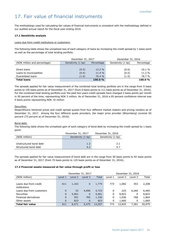### 17. Fair value of financial instruments

The methodology used for calculating fair values of financial instruments is consistent with the methodology defined in our audited annual report for the fiscal year ending 2016.

#### **17.1 Sensitivity analysis**

#### Loans due from credit institutions or customers:

The following table shows the unrealized loss of each category of loans by increasing the credit spread by 1 basis point as well as the percentage of total lending portfolio.

|                              | December 31, 2017  |            | December 31, 2016  |            |  |
|------------------------------|--------------------|------------|--------------------|------------|--|
| (NOK million and percentage) | Sensitivity (1 bp) | Percentage | Sensitivity (1 bp) | Percentage |  |
|                              |                    |            |                    |            |  |
| Direct loans                 | (0.5)              | 12.2 %     | (0.6)              | 10.1%      |  |
| Loans to municipalities      | (0.4)              | 11.4 %     | (0.5)              | 11.2 %     |  |
| Guaranteed loans             | (1.0)              | 76.4 %     | (1.5)              | 78.7 %     |  |
| <b>Total loans</b>           |                    | 100.0%     |                    | 100.0%     |  |

The spreads applied for fair value measurement of the combined total lending portfolio are in the range from 0 basis points to 105 basis points as of December 31, 2017 (from 0 basis points to 111 basis points as of December 31, 2016). For the combined total lending portfolio over the past two years credit spreads have changed 2 basis points per month in 95 percent of the time, representing NOK 3 million. As of December 31, 2016 a 95 percent confidence interval was 4 basis points representing NOK 10 million.

#### Securities:

Eksportfinans retrieved prices and credit spread quotes from four different market makers and pricing vendors as of December 31, 2017. Among the four different quote providers, the major price provider (Bloomberg) covered 65 percent (73 percent as of December 31, 2016).

#### Bond debt:

The following table shows the unrealized gain of each category of bond debt by increasing the credit spread by 1 basis point:

|                        | December 31, 2017  | December 31, 2016  |
|------------------------|--------------------|--------------------|
| (NOK million)          | Sensitivity (1 bp) | Sensitivity (1 bp) |
|                        |                    |                    |
| Unstructured bond debt | 1.3                | 2.1                |
| Structured bond debt   | 4.2                | 5.7                |

The spreads applied for fair value measurement of bond debt are in the range from 50 basis points to 92 basis points as of December 31, 2017 (from 75 basis points to 125 basis points as of December 31, 2016).

#### **17.2 Financial assets measured at fair value through profit or loss**

|                          |          | December 31, 2017 |             |        |         | December 31, 2016 |         |        |
|--------------------------|----------|-------------------|-------------|--------|---------|-------------------|---------|--------|
| (NOK million)            | Level 1  | Level 2           | Level 3     | Total  | Level 1 | Level 2           | Level 3 | Total  |
|                          |          |                   |             |        |         |                   |         |        |
| Loans due from credit    | 611      | 1,163             | $\mathbf 0$ | 1,774  | 773     | 1,082             | 353     | 2,208  |
| institutions             |          |                   |             |        |         |                   |         |        |
| Loans due from customers | 0        | 33                | 4,690       | 4,723  | 0       | 225               | 6,260   | 6,485  |
| Securities               | 0        | 5,901             | $\mathbf 0$ | 5,901  | 0       | 8,822             | 0       | 8,822  |
| Financial derivatives    | $\Omega$ | 551               | 785         | 1,336  | 0       | 1,036             | 768     | 1,804  |
| Other assets             | $\Omega$ | 823               | $\Omega$    | 823    | 0       | 1,660             | 0       | 1,660  |
| <b>Total fair value</b>  | 611      | 8,471             | 5,475       | 14,557 | 773     | 12,825            | 7.381   | 20,979 |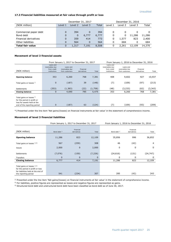#### **17.3 Financial liabilities measured at fair value through profit or loss**

|                         | December 31, 2017 |         |          |       |         | December 31, 2016 |         |        |
|-------------------------|-------------------|---------|----------|-------|---------|-------------------|---------|--------|
| (NOK million)           | Level 1           | Level 2 | Level 3  | Total | Level 1 | Level 2           | Level 3 | Total  |
|                         |                   |         |          |       |         |                   |         |        |
| Commercial paper debt   | 0                 | 394     |          | 394   | 0       | 0                 |         |        |
| Bond debt               | 0                 | 0       | 6,777    | 6,777 | 0       | 0                 | 11,286  | 11,286 |
| Financial derivatives   | 0                 | 359     | 414      | 773   | 0       | 1,577             | 823     | 2,400  |
| Other liabilities       | 0                 | 564     | $\Omega$ | 564   | 0       | 684               | 0       | 684    |
| <b>Total fair value</b> | 0                 | 1,317   | 7.191    | 8,508 | 0       | 2.261             | 12,109  | 14,370 |

#### **Movement of level 3 financial assets**

|                                                                                        | From January 1, 2017 to December 31, 2017                   |                                                |                          |         |                                                             | From January 1, 2016 to December 31, 2016      |                          |          |
|----------------------------------------------------------------------------------------|-------------------------------------------------------------|------------------------------------------------|--------------------------|---------|-------------------------------------------------------------|------------------------------------------------|--------------------------|----------|
| (NOK million)                                                                          | Loans and<br>receivables due<br>from credit<br>institutions | Loans and<br>receivables due<br>from customers | Financial<br>derivatives | Total   | Loans and<br>receivables due<br>from credit<br>institutions | Loans and<br>receivables due<br>from customers | Financial<br>derivatives | Total    |
| <b>Opening balance</b>                                                                 | 353                                                         | 6,260                                          | 768                      | 7,381   | 408                                                         | 9,602                                          | 927                      | 10,937   |
| Total gains or losses !)                                                               | $\mathbf 0$                                                 | (187)                                          | 39                       | (148)   | (7)                                                         | (109)                                          | (97)                     | (213)    |
| Settlements                                                                            | (353)                                                       | (1, 383)                                       | (22)                     | (1,758) | (48)                                                        | (3,233)                                        | (62)                     | (3, 343) |
| <b>Closing balance</b>                                                                 | 0                                                           | 4,690                                          | 785                      | 5,475   | 353                                                         | 6,260                                          | 768                      | 7,381    |
| Total gains or losses !)<br>for the period in profit or<br>loss for assets held at the |                                                             |                                                |                          |         |                                                             |                                                |                          |          |
| end of the reporting period                                                            | 0                                                           | (187)                                          | 63                       | (124)   | (7)                                                         | (109)                                          | (93)                     | (209)    |

\*) Presented under the line item 'Net gains/(losses) on financial instruments at fair value' in the statement of comprehensive income.

#### **Movement of level 3 financial liabilities**

|                                                                                                                               |                         | From January 1, 2017 to December 31, 2017 |             | From January 1, 2016 to December 31, 2016 |                          |           |  |
|-------------------------------------------------------------------------------------------------------------------------------|-------------------------|-------------------------------------------|-------------|-------------------------------------------|--------------------------|-----------|--|
| (NOK million)                                                                                                                 | Bond debt <sup>3)</sup> | Financial<br>derivatives                  | Total       | Bond debt <sup>3)</sup>                   | Financial<br>derivatives | Total     |  |
| <b>Opening balance</b>                                                                                                        | 11,286                  | 823                                       | 12,109      | 35,856                                    | 996                      | 36,852    |  |
| Total gains or losses 1) 2)                                                                                                   | 567                     | (259)                                     | 308         | 46                                        | (42)                     | 4         |  |
| Issues                                                                                                                        | 2,000                   | $\mathbf 0$                               | 2,000       | 0                                         | 0                        | 0         |  |
| Settlements                                                                                                                   | (7,076)                 | (150)                                     | (7, 226)    | (24, 616)                                 | (131)                    | (24, 747) |  |
| Transfers                                                                                                                     | $\mathbf{0}$            | 0                                         | $\mathbf 0$ | 0                                         | 0                        | 0         |  |
| <b>Closing balance</b>                                                                                                        | 6,777                   | 414                                       | 7,191       | 11,286                                    | 823                      | 12,109    |  |
| Total gains or losses 1) 2)<br>for the period in profit or loss<br>for liabilities held at the end of<br>the reporting period | 541                     | (234)                                     | 307         | 285                                       | (42)                     | 243       |  |

1) Presented under the line item 'Net gains/(losses) on financial instruments at fair value' in the statement of comprehensive income.

<sup>2)</sup> For liabilities, positive figures are represented as losses and negative figures are represented as gains.

3) Structured bond debt and unstructured bond debt have been classified as bond debt as of June 30, 2017.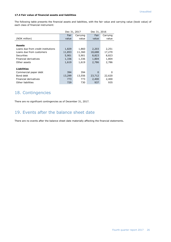#### **17.4 Fair value of financial assets and liabilities**

The following table presents the financial assets and liabilities, with the fair value and carrying value (book value) of each class of financial instrument:

|                                    | Dec 31, 2017 |          |          | Dec 31, 2016 |  |  |
|------------------------------------|--------------|----------|----------|--------------|--|--|
|                                    | Fair         | Carrying | Fair     | Carrying     |  |  |
| (NOK million)                      | value        | value    | value    | value        |  |  |
|                                    |              |          |          |              |  |  |
| <b>Assets</b>                      |              |          |          |              |  |  |
| Loans due from credit institutions | 1,829        | 1,860    | 2,203    | 2,251        |  |  |
| Loans due from customers           | 11,853       | 11,360   | 18,688   | 17,270       |  |  |
| Securities                         | 5,901        | 5,901    | 8,823    | 8,823        |  |  |
| Financial derivatives              | 1,336        | 1,336    | 1,804    | 1,804        |  |  |
| Other assets                       | 1,619        | 1,619    | 2,786    | 2,786        |  |  |
|                                    |              |          |          |              |  |  |
| <b>Liabilities</b>                 |              |          |          |              |  |  |
| Commercial paper debt              | 394          | 394      | $\Omega$ | 0            |  |  |
| Bond debt                          | 13,299       | 13,556   | 23,712   | 22,620       |  |  |
| Financial derivatives              | 773          | 773      | 2,400    | 2,400        |  |  |
| Other liabilities                  | 729          | 730      | 937      | 935          |  |  |

### 18. Contingencies

There are no significant contingencies as of December 31, 2017.

### 19. Events after the balance sheet date

There are no events after the balance sheet date materially affecting the financial statements.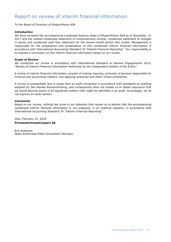### <span id="page-26-0"></span>Report on review of interim financial information

To the Board of Directors of Eksportfinans ASA

#### *Introduction*

*We have reviewed the accompanying condensed balance sheet of Eksportfinans ASA as of December, 31 2017 and the related condensed statement of comprehensive income, condensed statement of changes*  in equity and condensed cash flow statement for the twelve-month period then ended. Management is *responsible for the preparation and presentation of this condensed interim financial information in accordance with International Accounting Standard 34 "Interim Financial Reporting". Our responsibility is to express a conclusion on this interim financial information based on our review.*

#### *Scope of Review*

*We conducted our review in accordance with International Standard on Review Engagements 2410, "Review of Interim Financial Information Performed by the Independent Auditor of the Entity".* 

*A review of interim financial information consists of making inquiries, primarily of persons responsible for financial and accounting matters, and applying analytical and other review procedures.* 

*A review is substantially less in scope than an audit conducted in accordance with standards on auditing adopted by Den Norske Revisorforening, and consequently does not enable us to obtain assurance that we would become aware of all significant matters that might be identified in an audit. Accordingly, we do not express an audit opinion.*

#### *Conclusion*

*Based on our review, nothing has come to our attention that causes us to believe that the accompanying condensed interim financial information is not prepared, in all material respects, in accordance with International Accounting Standard 34 "Interim Financial Reporting".*

Oslo, February 15, 2018 **PricewaterhouseCoopers AS**

Erik Andersen State Authorised Public Accountant (Norway)